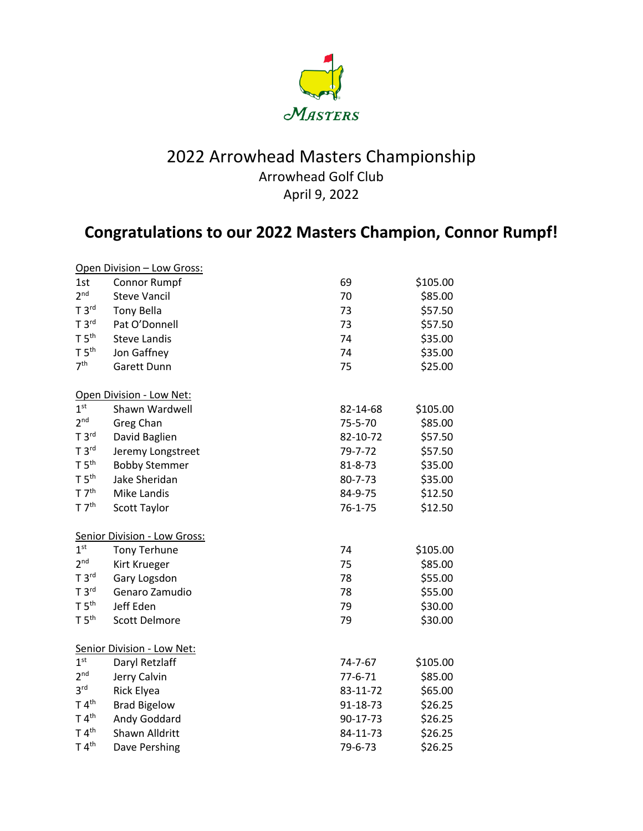

## 2022 Arrowhead Masters Championship Arrowhead Golf Club April 9, 2022

## **Congratulations to our 2022 Masters Champion, Connor Rumpf!**

|                                   | Open Division - Low Gross: |               |          |  |  |  |
|-----------------------------------|----------------------------|---------------|----------|--|--|--|
| 1st                               | Connor Rumpf               | 69            | \$105.00 |  |  |  |
| 2 <sup>nd</sup>                   | <b>Steve Vancil</b>        | 70            | \$85.00  |  |  |  |
| T 3 <sup>rd</sup>                 | <b>Tony Bella</b>          | 73            | \$57.50  |  |  |  |
| T 3 <sup>rd</sup>                 | Pat O'Donnell              | 73            | \$57.50  |  |  |  |
| T 5 <sup>th</sup>                 | <b>Steve Landis</b>        | 74            | \$35.00  |  |  |  |
| T 5 <sup>th</sup>                 | Jon Gaffney                | 74            | \$35.00  |  |  |  |
| 7 <sup>th</sup>                   | Garett Dunn                | 75            | \$25.00  |  |  |  |
|                                   | Open Division - Low Net:   |               |          |  |  |  |
| 1 <sup>st</sup>                   | Shawn Wardwell             | 82-14-68      | \$105.00 |  |  |  |
| 2 <sub>nd</sub>                   | Greg Chan                  | 75-5-70       | \$85.00  |  |  |  |
| T 3 <sup>rd</sup>                 | David Baglien              | 82-10-72      | \$57.50  |  |  |  |
| T 3 <sup>rd</sup>                 | Jeremy Longstreet          | 79-7-72       | \$57.50  |  |  |  |
| T 5 <sup>th</sup>                 | <b>Bobby Stemmer</b>       | $81 - 8 - 73$ | \$35.00  |  |  |  |
| T 5 <sup>th</sup>                 | Jake Sheridan              | 80-7-73       | \$35.00  |  |  |  |
| T 7 <sup>th</sup>                 | Mike Landis                | 84-9-75       | \$12.50  |  |  |  |
| T 7 <sup>th</sup>                 | Scott Taylor               | $76 - 1 - 75$ | \$12.50  |  |  |  |
| Senior Division - Low Gross:      |                            |               |          |  |  |  |
| 1 <sup>st</sup>                   | <b>Tony Terhune</b>        | 74            | \$105.00 |  |  |  |
| 2 <sup>nd</sup>                   | Kirt Krueger               | 75            | \$85.00  |  |  |  |
| T 3 <sup>rd</sup>                 | Gary Logsdon               | 78            | \$55.00  |  |  |  |
| T 3 <sup>rd</sup>                 | Genaro Zamudio             | 78            | \$55.00  |  |  |  |
| T 5 <sup>th</sup>                 | Jeff Eden                  | 79            | \$30.00  |  |  |  |
| T 5 <sup>th</sup>                 | <b>Scott Delmore</b>       | 79            | \$30.00  |  |  |  |
| <b>Senior Division - Low Net:</b> |                            |               |          |  |  |  |
| 1 <sup>st</sup>                   | Daryl Retzlaff             | 74-7-67       | \$105.00 |  |  |  |
| 2 <sub>nd</sub>                   | Jerry Calvin               | $77 - 6 - 71$ | \$85.00  |  |  |  |
| 3 <sup>rd</sup>                   | <b>Rick Elyea</b>          | 83-11-72      | \$65.00  |  |  |  |
| T 4 <sup>th</sup>                 | <b>Brad Bigelow</b>        | 91-18-73      | \$26.25  |  |  |  |
| T 4 <sup>th</sup>                 | Andy Goddard               | 90-17-73      | \$26.25  |  |  |  |
| T 4 <sup>th</sup>                 | Shawn Alldritt             | 84-11-73      | \$26.25  |  |  |  |
| T 4 <sup>th</sup>                 | Dave Pershing              | 79-6-73       | \$26.25  |  |  |  |